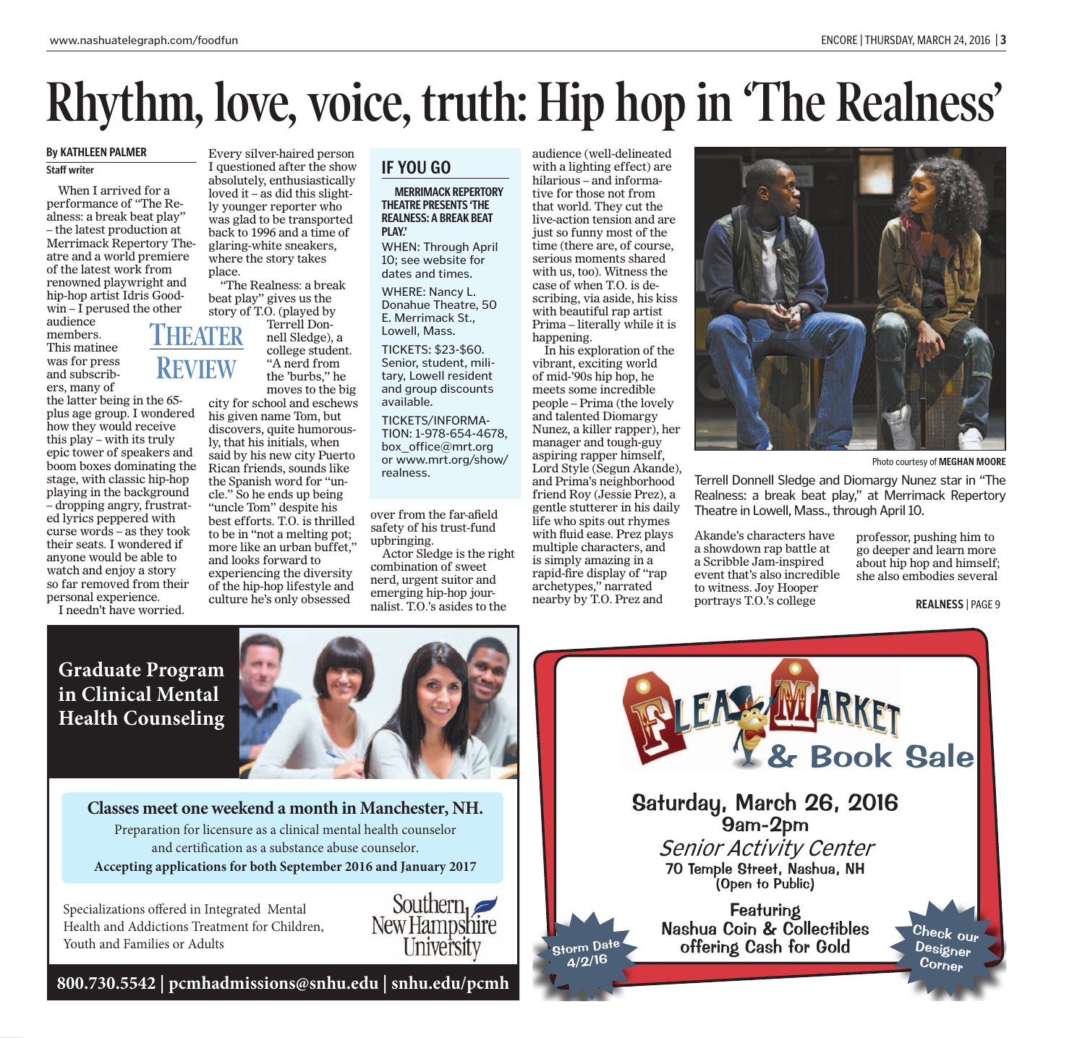# **Rhythm, love, voice, truth: Hip hop in 'The Realness'**

### **By KATHLEEN PALMER**

### **Staff writer**

When I arrived for a performance of "The Realness: a break beat play" – the latest production at Merrimack Repertory Theatre and a world premiere of the latest work from renowned playwright and hip-hop artist Idris Good $win - I$  perused the other audience

members. This matinee was for press and subscribers, many of

the latter being in the 65 plus age group. I wondered how they would receive this play – with its truly epic tower of speakers and boom boxes dominating the stage, with classic hip-hop playing in the background – dropping angry, frustrated lyrics peppered with curse words – as they took their seats. I wondered if anyone would be able to watch and enjoy a story so far removed from their personal experience.

I needn't have worried.

Every silver-haired person I questioned after the show absolutely, enthusiastically loved it – as did this slightly younger reporter who was glad to be transported back to 1996 and a time of glaring-white sneakers, where the story takes place.

"The Realness: a break beat play" gives us the story of T.O. (played by

Terrell Donnell Sledge), a college student. "A nerd from the 'burbs," he

moves to the big city for school and eschews his given name Tom, but discovers, quite humorously, that his initials, when said by his new city Puerto Rican friends, sounds like the Spanish word for "uncle." So he ends up being "uncle Tom" despite his best efforts. T.O. is thrilled to be in "not a melting pot; more like an urban buffet," and looks forward to experiencing the diversity of the hip-hop lifestyle and culture he's only obsessed

### **IF YOU GO**

### **MERRIMACK REPERTORY THEATRE PRESENTS 'THE REALNESS: A BREAK BEAT PLAY.'**

WHEN: Through April 10; see website for dates and times. WHERE: Nancy L.

Donahue Theatre, 50 E. Merrimack St., Lowell, Mass.

TICKETS: \$23-\$60. Senior, student, military, Lowell resident and group discounts available.

TICKETS/INFORMA-TION: 1-978-654-4678, box office@mrt.org or www.mrt.org/show/ realness.

over from the far-afield safety of his trust-fund upbringing.

Actor Sledge is the right combination of sweet nerd, urgent suitor and emerging hip-hop journalist. T.O.'s asides to the

audience (well-delineated with a lighting effect) are hilarious – and informative for those not from that world. They cut the live-action tension and are just so funny most of the time (there are, of course, serious moments shared with us, too). Witness the case of when T.O. is describing, via aside, his kiss with beautiful rap artist Prima – literally while it is happening.

In his exploration of the vibrant, exciting world of mid-'90s hip hop, he meets some incredible people – Prima (the lovely and talented Diomargy Nunez, a killer rapper), her manager and tough-guy aspiring rapper himself, Lord Style (Segun Akande), and Prima's neighborhood friend Roy (Jessie Prez), a gentle stutterer in his daily life who spits out rhymes with fluid ease. Prez plays multiple characters, and is simply amazing in a rapid-fire display of "rap archetypes," narrated nearby by T.O. Prez and



Photo courtesy of **MEGHAN MOORE** 

Terrell Donnell Sledge and Diomargy Nunez star in "The Realness: a break beat play," at Merrimack Repertory Theatre in Lowell, Mass., through April 10.

Akande's characters have a showdown rap battle at a Scribble Jam-inspired event that's also incredible to witness. Joy Hooper portrays T.O.'s college

professor, pushing him to go deeper and learn more about hip hop and himself; she also embodies several

**REALNESS** | PAGE 9

### **Graduate Program in Clinical Mental Health Counseling**



**Classes meet one weekend a month in Manchester, NH.** Preparation for licensure as a clinical mental health counselor and certification as a substance abuse counselor. **Accepting applications for both September 201 and January 201**

Specializations offered in Integrated Mental Health and Addictions Treatment for Children, Youth and Families or Adults



**800.730.5542 | pcmhadmissions@snhu.edu | snhu.edu/pcmh**



## **THEATER REVIEW**